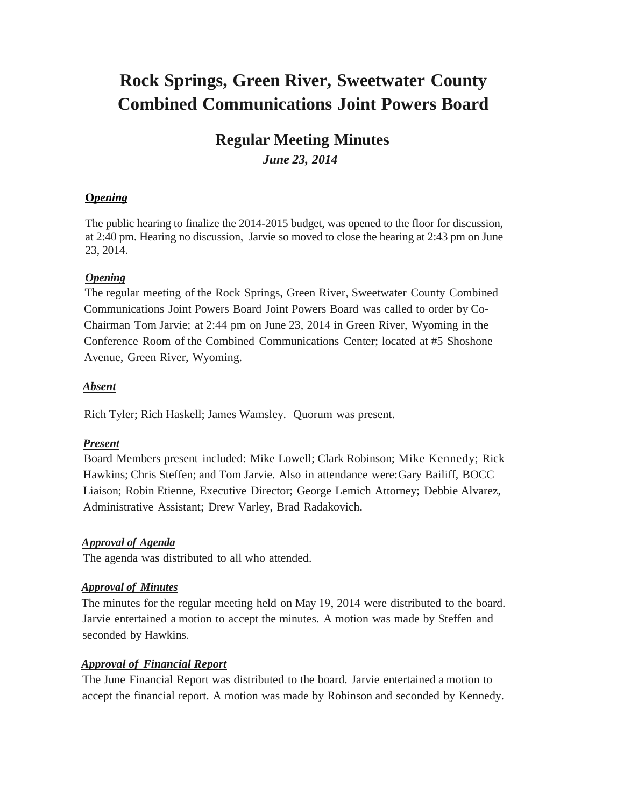# **Rock Springs, Green River, Sweetwater County Combined Communications Joint Powers Board**

## **Regular Meeting Minutes** *June 23, 2014*

## **O***pening*

The public hearing to finalize the 2014-2015 budget, was opened to the floor for discussion, at 2:40 pm. Hearing no discussion, Jarvie so moved to close the hearing at 2:43 pm on June 23, 2014.

## *Opening*

The regular meeting of the Rock Springs, Green River, Sweetwater County Combined Communications Joint Powers Board Joint Powers Board was called to order by Co-Chairman Tom Jarvie; at 2:44 pm on June 23, 2014 in Green River, Wyoming in the Conference Room of the Combined Communications Center; located at #5 Shoshone Avenue, Green River, Wyoming.

## *Absent*

Rich Tyler; Rich Haskell; James Wamsley. Quorum was present.

## *Present*

Board Members present included: Mike Lowell; Clark Robinson; Mike Kennedy; Rick Hawkins; Chris Steffen; and Tom Jarvie. Also in attendance were:Gary Bailiff, BOCC Liaison; Robin Etienne, Executive Director; George Lemich Attorney; Debbie Alvarez, Administrative Assistant; Drew Varley, Brad Radakovich.

## *Approval of Agenda*

The agenda was distributed to all who attended.

## *Approval of Minutes*

The minutes for the regular meeting held on May 19, 2014 were distributed to the board. Jarvie entertained a motion to accept the minutes. A motion was made by Steffen and seconded by Hawkins.

## *Approval of Financial Report*

The June Financial Report was distributed to the board. Jarvie entertained a motion to accept the financial report. A motion was made by Robinson and seconded by Kennedy.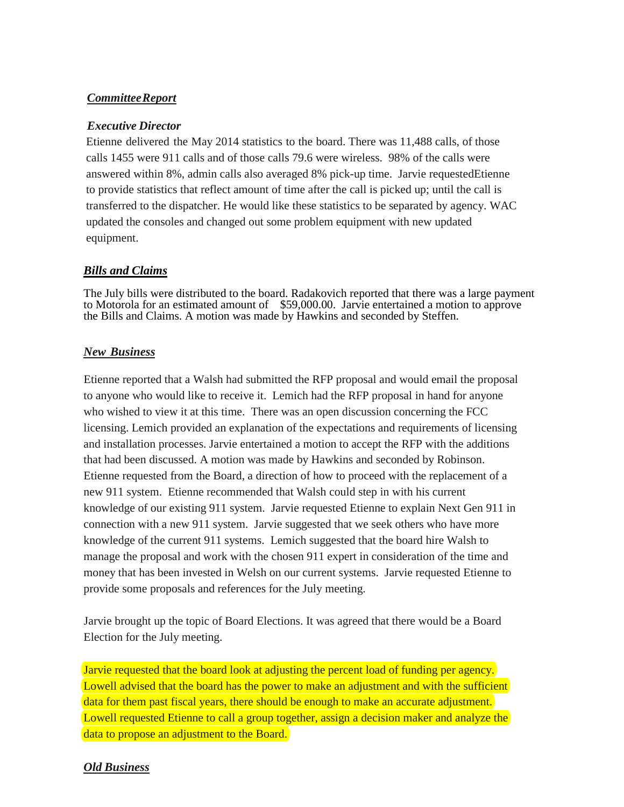## *CommitteeReport*

### *Executive Director*

Etienne delivered the May 2014 statistics to the board. There was 11,488 calls, of those calls 1455 were 911 calls and of those calls 79.6 were wireless. 98% of the calls were answered within 8%, admin calls also averaged 8% pick-up time. Jarvie requestedEtienne to provide statistics that reflect amount of time after the call is picked up; until the call is transferred to the dispatcher. He would like these statistics to be separated by agency. WAC updated the consoles and changed out some problem equipment with new updated equipment.

## *Bills and Claims*

The July bills were distributed to the board. Radakovich reported that there was a large payment to Motorola for an estimated amount of \$59,000.00. Jarvie entertained a motion to approve the Bills and Claims. A motion was made by Hawkins and seconded by Steffen.

## *New Business*

Etienne reported that a Walsh had submitted the RFP proposal and would email the proposal to anyone who would like to receive it. Lemich had the RFP proposal in hand for anyone who wished to view it at this time. There was an open discussion concerning the FCC licensing. Lemich provided an explanation of the expectations and requirements of licensing and installation processes. Jarvie entertained a motion to accept the RFP with the additions that had been discussed. A motion was made by Hawkins and seconded by Robinson. Etienne requested from the Board, a direction of how to proceed with the replacement of a new 911 system. Etienne recommended that Walsh could step in with his current knowledge of our existing 911 system. Jarvie requested Etienne to explain Next Gen 911 in connection with a new 911 system. Jarvie suggested that we seek others who have more knowledge of the current 911 systems. Lemich suggested that the board hire Walsh to manage the proposal and work with the chosen 911 expert in consideration of the time and money that has been invested in Welsh on our current systems. Jarvie requested Etienne to provide some proposals and references for the July meeting.

Jarvie brought up the topic of Board Elections. It was agreed that there would be a Board Election for the July meeting.

Jarvie requested that the board look at adjusting the percent load of funding per agency. Lowell advised that the board has the power to make an adjustment and with the sufficient data for them past fiscal years, there should be enough to make an accurate adjustment. Lowell requested Etienne to call a group together, assign a decision maker and analyze the data to propose an adjustment to the Board.

## *Old Business*